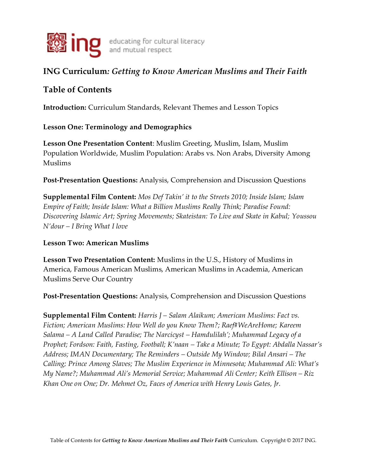

# **ING Curriculum***: Getting to Know American Muslims and Their Faith*

## **Table of Contents**

**Introduction:** Curriculum Standards, Relevant Themes and Lesson Topics

### **Lesson One: Terminology and Demographics**

**Lesson One Presentation Content**: Muslim Greeting, Muslim, Islam, Muslim Population Worldwide, Muslim Population: Arabs vs. Non Arabs, Diversity Among Muslims

**Post-Presentation Questions:** Analysis, Comprehension and Discussion Questions

**Supplemental Film Content:** *Mos Def Takin' it to the Streets 2010; Inside Islam; Islam Empire of Faith; Inside Islam: What a Billion Muslims Really Think; Paradise Found: Discovering Islamic Art; Spring Movements; Skateistan: To Live and Skate in Kabul; Youssou N'dour – I Bring What I love*

#### **Lesson Two: American Muslims**

**Lesson Two Presentation Content:** Muslims in the U.S., History of Muslims in America, Famous American Muslims, American Muslims in Academia, American Muslims Serve Our Country

**Post-Presentation Questions:** Analysis, Comprehension and Discussion Questions

**Supplemental Film Content:** *Harris J – Salam Alaikum; American Muslims: Fact vs. Fiction; American Muslims: How Well do you Know Them?; Raef#WeAreHome; Kareem Salama – A Land Called Paradise; The Narcicyst – Hamdulilah'; Muhammad Legacy of a Prophet; Fordson: Faith, Fasting, Football; K'naan – Take a Minute; To Egypt: Abdalla Nassar's Address; IMAN Documentary; The Reminders – Outside My Window; Bilal Ansari – The Calling; Prince Among Slaves; The Muslim Experience in Minnesota; Muhammad Ali: What's My Name?; Muhammad Ali's Memorial Service; Muhammad Ali Center; Keith Ellison – Riz Khan One on One; Dr. Mehmet Oz, Faces of America with Henry Louis Gates, Jr.*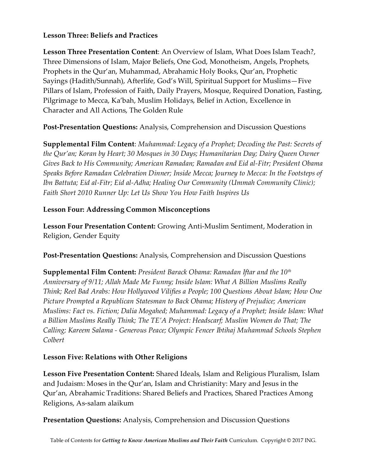#### **Lesson Three: Beliefs and Practices**

**Lesson Three Presentation Content**: An Overview of Islam, What Does Islam Teach?, Three Dimensions of Islam, Major Beliefs, One God, Monotheism, Angels, Prophets, Prophets in the Qur'an, Muhammad, Abrahamic Holy Books, Qur'an, Prophetic Sayings (Hadith/Sunnah), Afterlife, God's Will, Spiritual Support for Muslims—Five Pillars of Islam, Profession of Faith, Daily Prayers, Mosque, Required Donation, Fasting, Pilgrimage to Mecca, Ka'bah, Muslim Holidays, Belief in Action, Excellence in Character and All Actions, The Golden Rule

**Post-Presentation Questions:** Analysis, Comprehension and Discussion Questions

**Supplemental Film Content**: *Muhammad: Legacy of a Prophet; Decoding the Past: Secrets of the Qur'an; Koran by Heart; 30 Mosques in 30 Days; Humanitarian Day; Dairy Queen Owner Gives Back to His Community; American Ramadan; Ramadan and Eid al-Fitr; President Obama Speaks Before Ramadan Celebration Dinner; Inside Mecca; Journey to Mecca: In the Footsteps of Ibn Battuta; Eid al-Fitr; Eid al-Adha; Healing Our Community (Ummah Community Clinic); Faith Short 2010 Runner Up: Let Us Show You How Faith Inspires Us*

### **Lesson Four: Addressing Common Misconceptions**

**Lesson Four Presentation Content:** Growing Anti-Muslim Sentiment, Moderation in Religion, Gender Equity

**Post-Presentation Questions:** Analysis, Comprehension and Discussion Questions

**Supplemental Film Content:** *President Barack Obama: Ramadan Iftar and the 10th Anniversary of 9/11; Allah Made Me Funny; Inside Islam: What A Billion Muslims Really Think; Reel Bad Arabs: How Hollywood Vilifies a People; 100 Questions About Islam; How One Picture Prompted a Republican Statesman to Back Obama; History of Prejudice; American Muslims: Fact vs. Fiction; Dalia Mogahed; Muhammad: Legacy of a Prophet; Inside Islam: What a Billion Muslims Really Think; The TE'A Project: Headscarf; Muslim Women do That; The Calling; Kareem Salama - Generous Peace; Olympic Fencer Ibtihaj Muhammad Schools Stephen Colbert*

## **Lesson Five: Relations with Other Religions**

**Lesson Five Presentation Content:** Shared Ideals, Islam and Religious Pluralism, Islam and Judaism: Moses in the Qur'an, Islam and Christianity: Mary and Jesus in the Qur'an, Abrahamic Traditions: Shared Beliefs and Practices, Shared Practices Among Religions, As-salam alaikum

**Presentation Questions:** Analysis, Comprehension and Discussion Questions